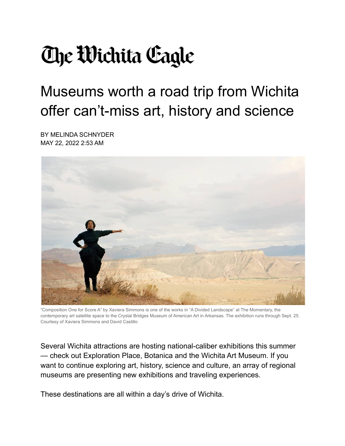## **The Wichita Cagle**

## Museums worth a road trip from Wichita offer can't-miss art, history and science

BY MELINDA SCHNYDER MAY 22, 2022 2:53 AM



"Composition One for Score A" by Xaviera Simmons is one of the works in "A Divided Landscape" at The Momentary, the contemporary art satellite space to the Crystal Bridges Museum of American Art in Arkansas. The exhibition runs through Sept. 25. Courtesy of Xaviera Simmons and David Castillo

Several Wichita attractions are hosting national-caliber exhibitions this summer — check out Exploration Place, Botanica and the Wichita Art Museum. If you want to continue exploring art, history, science and culture, an array of regional museums are presenting new exhibitions and traveling experiences.

These destinations are all within a day's drive of Wichita.